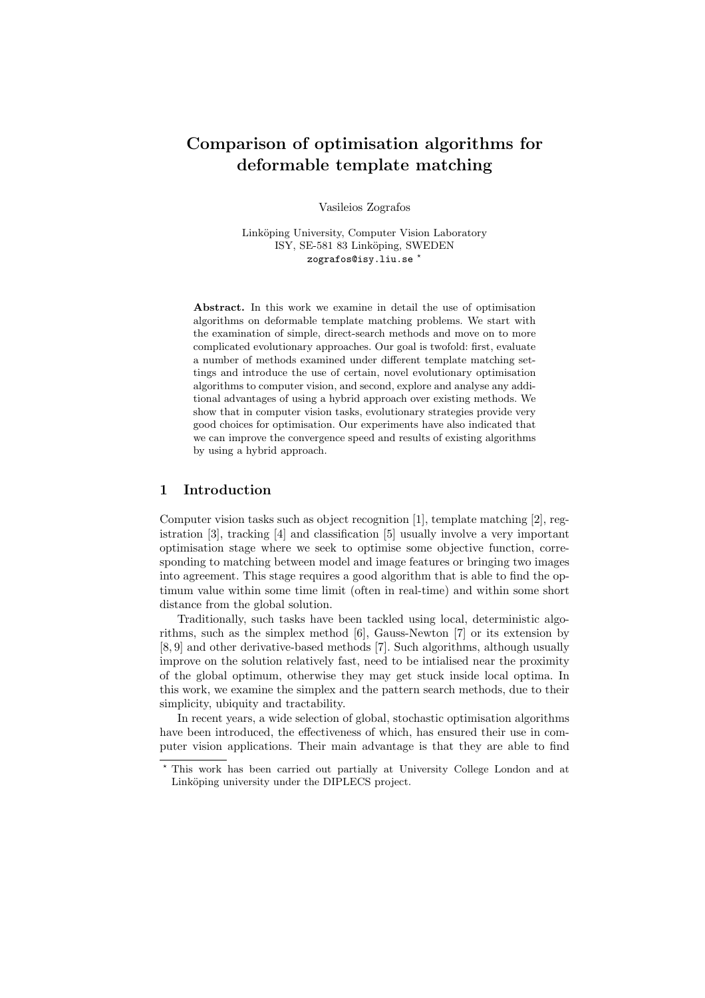# Comparison of optimisation algorithms for deformable template matching

Vasileios Zografos

Linköping University, Computer Vision Laboratory ISY, SE-581 83 Linköping, SWEDEN zografos@isy.liu.se  $\star$ 

Abstract. In this work we examine in detail the use of optimisation algorithms on deformable template matching problems. We start with the examination of simple, direct-search methods and move on to more complicated evolutionary approaches. Our goal is twofold: first, evaluate a number of methods examined under different template matching settings and introduce the use of certain, novel evolutionary optimisation algorithms to computer vision, and second, explore and analyse any additional advantages of using a hybrid approach over existing methods. We show that in computer vision tasks, evolutionary strategies provide very good choices for optimisation. Our experiments have also indicated that we can improve the convergence speed and results of existing algorithms by using a hybrid approach.

# 1 Introduction

Computer vision tasks such as object recognition  $[1]$ , template matching  $[2]$ , registration [3], tracking [4] and classification [5] usually involve a very important optimisation stage where we seek to optimise some objective function, corresponding to matching between model and image features or bringing two images into agreement. This stage requires a good algorithm that is able to find the optimum value within some time limit (often in real-time) and within some short distance from the global solution.

Traditionally, such tasks have been tackled using local, deterministic algorithms, such as the simplex method [6], Gauss-Newton [7] or its extension by [8, 9] and other derivative-based methods [7]. Such algorithms, although usually improve on the solution relatively fast, need to be intialised near the proximity of the global optimum, otherwise they may get stuck inside local optima. In this work, we examine the simplex and the pattern search methods, due to their simplicity, ubiquity and tractability.

In recent years, a wide selection of global, stochastic optimisation algorithms have been introduced, the effectiveness of which, has ensured their use in computer vision applications. Their main advantage is that they are able to find

This work has been carried out partially at University College London and at Linköping university under the DIPLECS project.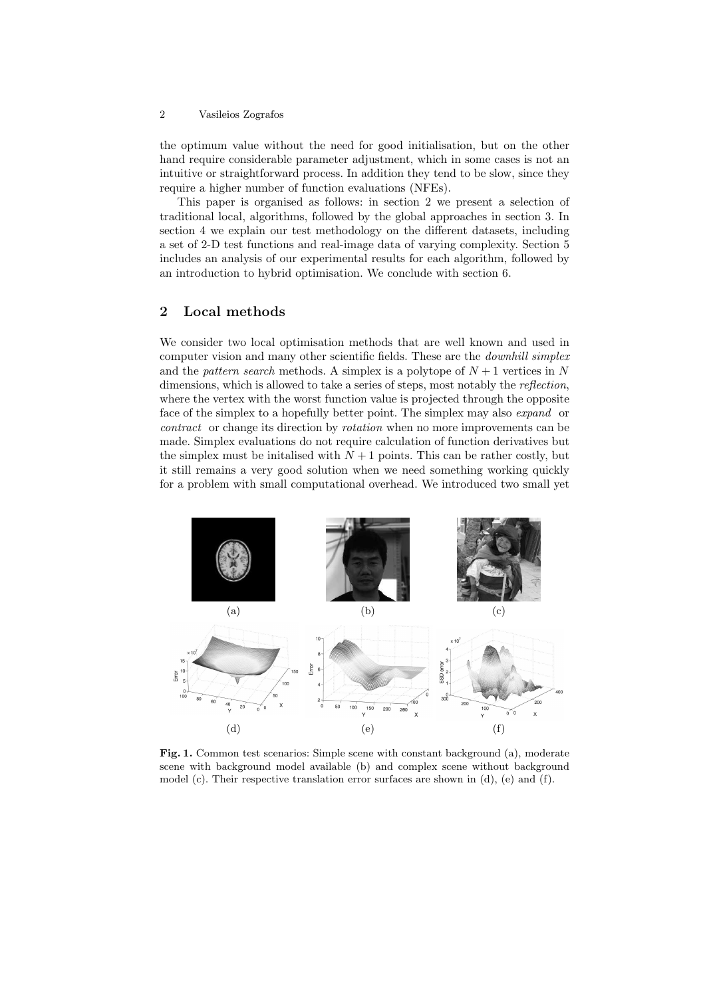the optimum value without the need for good initialisation, but on the other hand require considerable parameter adjustment, which in some cases is not an intuitive or straightforward process. In addition they tend to be slow, since they require a higher number of function evaluations (NFEs).

This paper is organised as follows: in section 2 we present a selection of traditional local, algorithms, followed by the global approaches in section 3. In section 4 we explain our test methodology on the different datasets, including a set of 2-D test functions and real-image data of varying complexity. Section 5 includes an analysis of our experimental results for each algorithm, followed by an introduction to hybrid optimisation. We conclude with section 6.

# 2 Local methods

We consider two local optimisation methods that are well known and used in computer vision and many other scientific fields. These are the *downhill simplex* and the pattern search methods. A simplex is a polytope of  $N+1$  vertices in N dimensions, which is allowed to take a series of steps, most notably the *reflection*, where the vertex with the worst function value is projected through the opposite face of the simplex to a hopefully better point. The simplex may also *expand* or contract or change its direction by rotation when no more improvements can be made. Simplex evaluations do not require calculation of function derivatives but the simplex must be initialised with  $N+1$  points. This can be rather costly, but it still remains a very good solution when we need something working quickly for a problem with small computational overhead. We introduced two small yet



Fig. 1. Common test scenarios: Simple scene with constant background (a), moderate scene with background model available (b) and complex scene without background model (c). Their respective translation error surfaces are shown in  $(d)$ , (e) and  $(f)$ .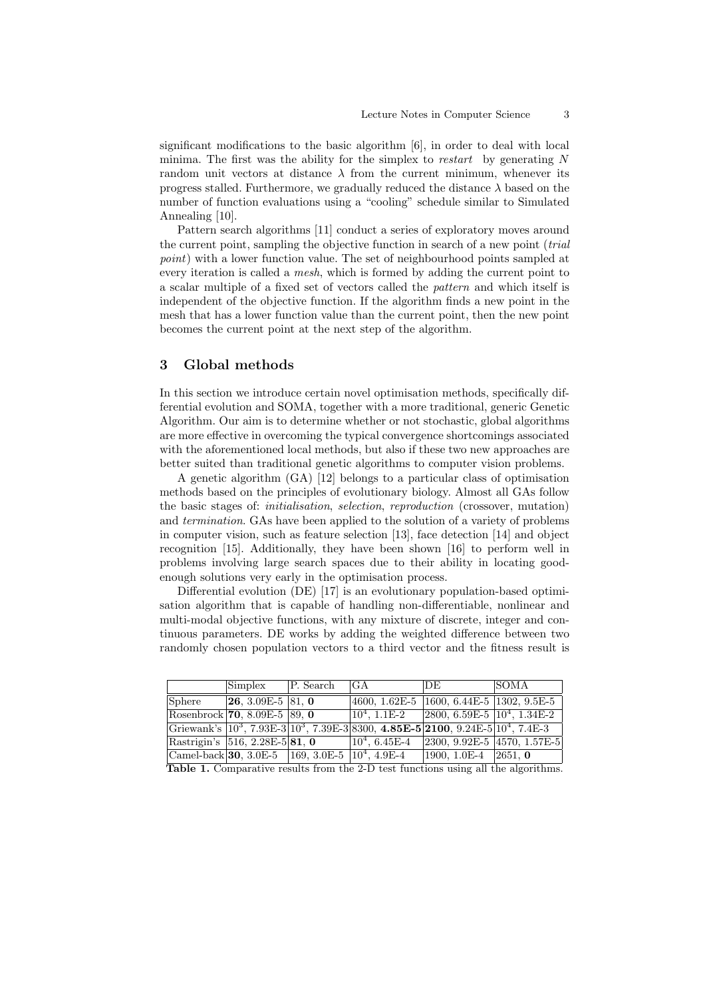significant modifications to the basic algorithm [6], in order to deal with local minima. The first was the ability for the simplex to restart by generating  $N$ random unit vectors at distance  $\lambda$  from the current minimum, whenever its progress stalled. Furthermore, we gradually reduced the distance  $\lambda$  based on the number of function evaluations using a "cooling" schedule similar to Simulated Annealing [10].

Pattern search algorithms [11] conduct a series of exploratory moves around the current point, sampling the objective function in search of a new point *(trial*) point) with a lower function value. The set of neighbourhood points sampled at every iteration is called a mesh, which is formed by adding the current point to a scalar multiple of a fixed set of vectors called the pattern and which itself is independent of the objective function. If the algorithm finds a new point in the mesh that has a lower function value than the current point, then the new point becomes the current point at the next step of the algorithm.

# 3 Global methods

In this section we introduce certain novel optimisation methods, specifically differential evolution and SOMA, together with a more traditional, generic Genetic Algorithm. Our aim is to determine whether or not stochastic, global algorithms are more effective in overcoming the typical convergence shortcomings associated with the aforementioned local methods, but also if these two new approaches are better suited than traditional genetic algorithms to computer vision problems.

A genetic algorithm (GA) [12] belongs to a particular class of optimisation methods based on the principles of evolutionary biology. Almost all GAs follow the basic stages of: initialisation, selection, reproduction (crossover, mutation) and termination. GAs have been applied to the solution of a variety of problems in computer vision, such as feature selection [13], face detection [14] and object recognition [15]. Additionally, they have been shown [16] to perform well in problems involving large search spaces due to their ability in locating goodenough solutions very early in the optimisation process.

Differential evolution (DE) [17] is an evolutionary population-based optimisation algorithm that is capable of handling non-differentiable, nonlinear and multi-modal objective functions, with any mixture of discrete, integer and continuous parameters. DE works by adding the weighted difference between two randomly chosen population vectors to a third vector and the fitness result is

|        | Simplex                                           | P. Search | IGA.                                                                                                           | IDE.                          | <b>SOMA</b> |
|--------|---------------------------------------------------|-----------|----------------------------------------------------------------------------------------------------------------|-------------------------------|-------------|
| Sphere | <b>26.</b> 3.09E-5 [81, 0]                        |           | $ 4600, 1.62E-5 1600, 6.44E-5 1302, 9.5E-5 $                                                                   |                               |             |
|        | Rosenbrock 70, 8.09E-5 89, 0                      |           | $10^4$ , 1.1E-2 2800, 6.59E-5 $10^4$ , 1.34E-2                                                                 |                               |             |
|        |                                                   |           | Griewank's $\left[10^3, 7.93E-3\right]10^3, 7.39E-3\right]8300, 4.85E-5\left[2100, 9.24E-5\right]10^4, 7.4E-3$ |                               |             |
|        | Rastrigin's [516, 2.28E-5 $ 81, 0 $               |           | $10^4, 6.45E-4$                                                                                                | 2300, 9.92E-5   4570, 1.57E-5 |             |
|        | Camel-back 30, 3.0E-5 169, 3.0E-5 $10^4$ , 4.9E-4 |           |                                                                                                                | $ 1900, 1.0E-4 $ $ 2651, 0$   |             |

Table 1. Comparative results from the 2-D test functions using all the algorithms.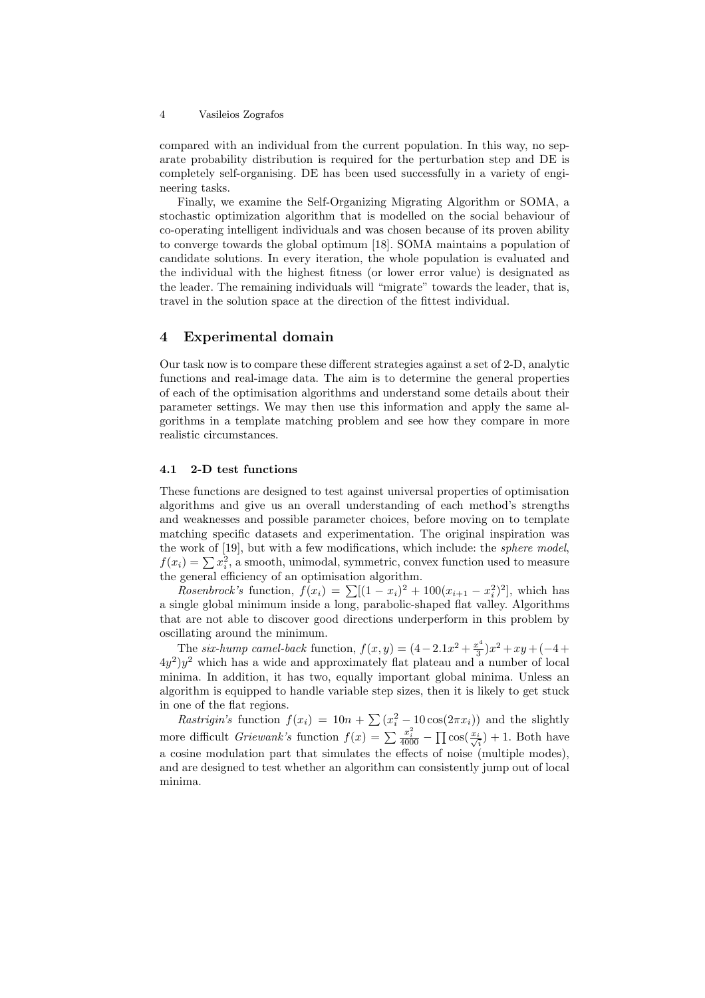compared with an individual from the current population. In this way, no separate probability distribution is required for the perturbation step and DE is completely self-organising. DE has been used successfully in a variety of engineering tasks.

Finally, we examine the Self-Organizing Migrating Algorithm or SOMA, a stochastic optimization algorithm that is modelled on the social behaviour of co-operating intelligent individuals and was chosen because of its proven ability to converge towards the global optimum [18]. SOMA maintains a population of candidate solutions. In every iteration, the whole population is evaluated and the individual with the highest fitness (or lower error value) is designated as the leader. The remaining individuals will "migrate" towards the leader, that is, travel in the solution space at the direction of the fittest individual.

# 4 Experimental domain

Our task now is to compare these different strategies against a set of 2-D, analytic functions and real-image data. The aim is to determine the general properties of each of the optimisation algorithms and understand some details about their parameter settings. We may then use this information and apply the same algorithms in a template matching problem and see how they compare in more realistic circumstances.

## 4.1 2-D test functions

These functions are designed to test against universal properties of optimisation algorithms and give us an overall understanding of each method's strengths and weaknesses and possible parameter choices, before moving on to template matching specific datasets and experimentation. The original inspiration was the work of [19], but with a few modifications, which include: the sphere model,  $f(x_i) = \sum x_i^2$ , a smooth, unimodal, symmetric, convex function used to measure the general efficiency of an optimisation algorithm.

*Rosenbrock's* function,  $f(x_i) = \sum [(1 - x_i)^2 + 100(x_{i+1} - x_i^2)^2]$ , which has a single global minimum inside a long, parabolic-shaped flat valley. Algorithms that are not able to discover good directions underperform in this problem by oscillating around the minimum.

The six-hump camel-back function,  $f(x, y) = (4 - 2.1x^2 + \frac{x^4}{3})$  $\frac{x^4}{3}$ ) $x^2 + xy + (-4 +$  $(4y^2)y^2$  which has a wide and approximately flat plateau and a number of local minima. In addition, it has two, equally important global minima. Unless an algorithm is equipped to handle variable step sizes, then it is likely to get stuck in one of the flat regions.

Rastrigin's function  $f(x_i) = 10n + \sum_{i=1}^{n} (x_i^2 - 10\cos(2\pi x_i))$  and the slightly more difficult *Griewank's* function  $f(x) = \sum_{n=0}^{\infty} \frac{x_i^2}{4000} - \prod_{n=0}^{\infty} \cos(\frac{x_i}{\sqrt{i}}) + 1$ . Both have a cosine modulation part that simulates the effects of noise (multiple modes), and are designed to test whether an algorithm can consistently jump out of local minima.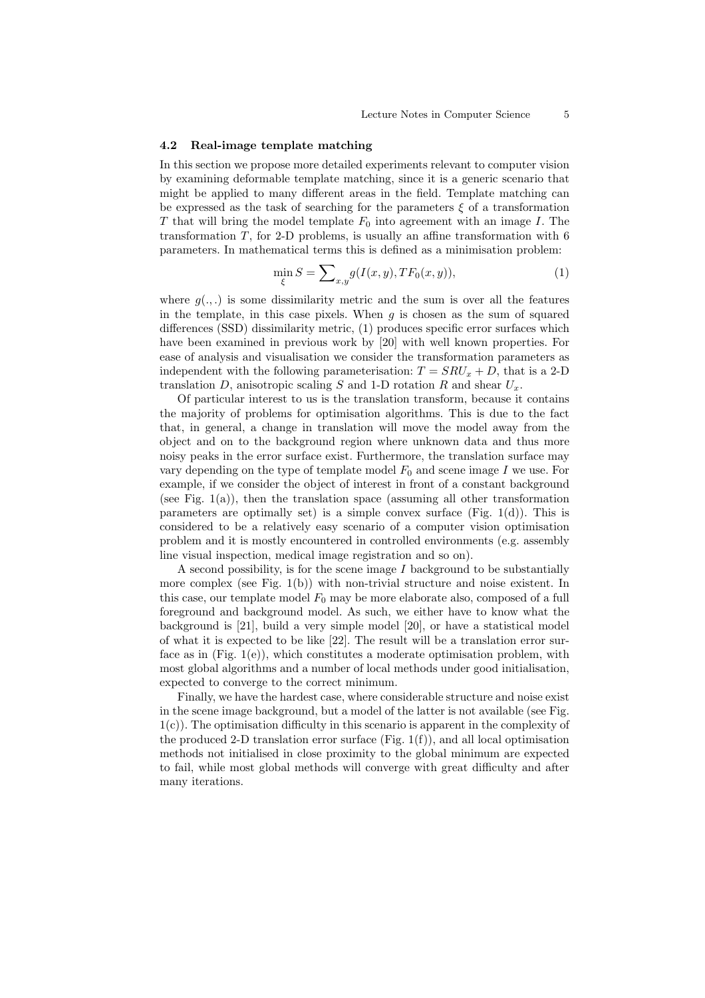#### 4.2 Real-image template matching

In this section we propose more detailed experiments relevant to computer vision by examining deformable template matching, since it is a generic scenario that might be applied to many different areas in the field. Template matching can be expressed as the task of searching for the parameters  $\xi$  of a transformation T that will bring the model template  $F_0$  into agreement with an image I. The transformation  $T$ , for 2-D problems, is usually an affine transformation with 6 parameters. In mathematical terms this is defined as a minimisation problem:

$$
\min_{\xi} S = \sum_{x,y} g(I(x,y), TF_0(x,y)),
$$
\n(1)

where  $g(.,.)$  is some dissimilarity metric and the sum is over all the features in the template, in this case pixels. When  $g$  is chosen as the sum of squared differences (SSD) dissimilarity metric, (1) produces specific error surfaces which have been examined in previous work by [20] with well known properties. For ease of analysis and visualisation we consider the transformation parameters as independent with the following parameterisation:  $T = SRU_x + D$ , that is a 2-D translation D, anisotropic scaling S and 1-D rotation R and shear  $U_x$ .

Of particular interest to us is the translation transform, because it contains the majority of problems for optimisation algorithms. This is due to the fact that, in general, a change in translation will move the model away from the object and on to the background region where unknown data and thus more noisy peaks in the error surface exist. Furthermore, the translation surface may vary depending on the type of template model  $F_0$  and scene image I we use. For example, if we consider the object of interest in front of a constant background (see Fig.  $1(a)$ ), then the translation space (assuming all other transformation parameters are optimally set) is a simple convex surface (Fig.  $1(d)$ ). This is considered to be a relatively easy scenario of a computer vision optimisation problem and it is mostly encountered in controlled environments (e.g. assembly line visual inspection, medical image registration and so on).

A second possibility, is for the scene image I background to be substantially more complex (see Fig. 1(b)) with non-trivial structure and noise existent. In this case, our template model  $F_0$  may be more elaborate also, composed of a full foreground and background model. As such, we either have to know what the background is [21], build a very simple model [20], or have a statistical model of what it is expected to be like [22]. The result will be a translation error surface as in  $(Fig. 1(e))$ , which constitutes a moderate optimisation problem, with most global algorithms and a number of local methods under good initialisation, expected to converge to the correct minimum.

Finally, we have the hardest case, where considerable structure and noise exist in the scene image background, but a model of the latter is not available (see Fig. 1(c)). The optimisation difficulty in this scenario is apparent in the complexity of the produced 2-D translation error surface  $(Fig. 1(f))$ , and all local optimisation methods not initialised in close proximity to the global minimum are expected to fail, while most global methods will converge with great difficulty and after many iterations.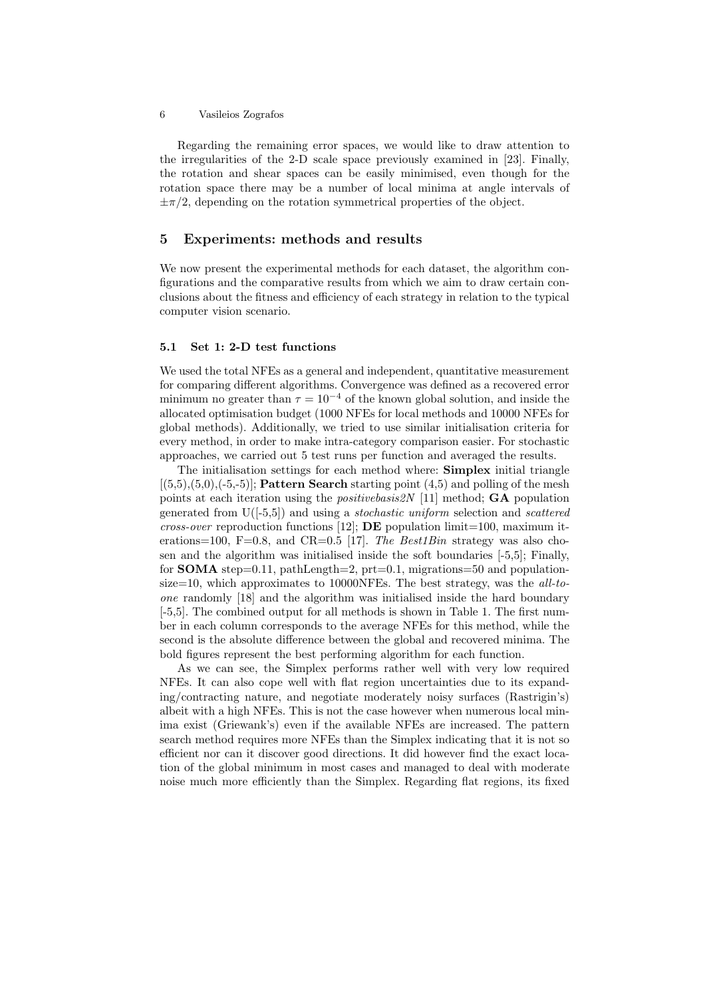Regarding the remaining error spaces, we would like to draw attention to the irregularities of the 2-D scale space previously examined in [23]. Finally, the rotation and shear spaces can be easily minimised, even though for the rotation space there may be a number of local minima at angle intervals of  $\pm \pi/2$ , depending on the rotation symmetrical properties of the object.

# 5 Experiments: methods and results

We now present the experimental methods for each dataset, the algorithm configurations and the comparative results from which we aim to draw certain conclusions about the fitness and efficiency of each strategy in relation to the typical computer vision scenario.

#### 5.1 Set 1: 2-D test functions

We used the total NFEs as a general and independent, quantitative measurement for comparing different algorithms. Convergence was defined as a recovered error minimum no greater than  $\tau = 10^{-4}$  of the known global solution, and inside the allocated optimisation budget (1000 NFEs for local methods and 10000 NFEs for global methods). Additionally, we tried to use similar initialisation criteria for every method, in order to make intra-category comparison easier. For stochastic approaches, we carried out 5 test runs per function and averaged the results.

The initialisation settings for each method where: Simplex initial triangle  $[(5,5),(5,0),(-5,-5)]$ ; **Pattern Search** starting point  $(4,5)$  and polling of the mesh points at each iteration using the *positivebasis2N* [11] method; **GA** population generated from  $U([-5,5])$  and using a *stochastic uniform* selection and *scattered*  $\emph{cross-over reproduction functions [12]; **DE** population limit=100, maximum it$ erations=100, F=0.8, and CR=0.5 [17]. The Best1Bin strategy was also chosen and the algorithm was initialised inside the soft boundaries [-5,5]; Finally, for SOMA step=0.11, pathLength=2, prt=0.1, migrations=50 and populationsize=10, which approximates to  $10000 \text{NFEs}$ . The best strategy, was the *all-to*one randomly [18] and the algorithm was initialised inside the hard boundary [-5,5]. The combined output for all methods is shown in Table 1. The first number in each column corresponds to the average NFEs for this method, while the second is the absolute difference between the global and recovered minima. The bold figures represent the best performing algorithm for each function.

As we can see, the Simplex performs rather well with very low required NFEs. It can also cope well with flat region uncertainties due to its expanding/contracting nature, and negotiate moderately noisy surfaces (Rastrigin's) albeit with a high NFEs. This is not the case however when numerous local minima exist (Griewank's) even if the available NFEs are increased. The pattern search method requires more NFEs than the Simplex indicating that it is not so efficient nor can it discover good directions. It did however find the exact location of the global minimum in most cases and managed to deal with moderate noise much more efficiently than the Simplex. Regarding flat regions, its fixed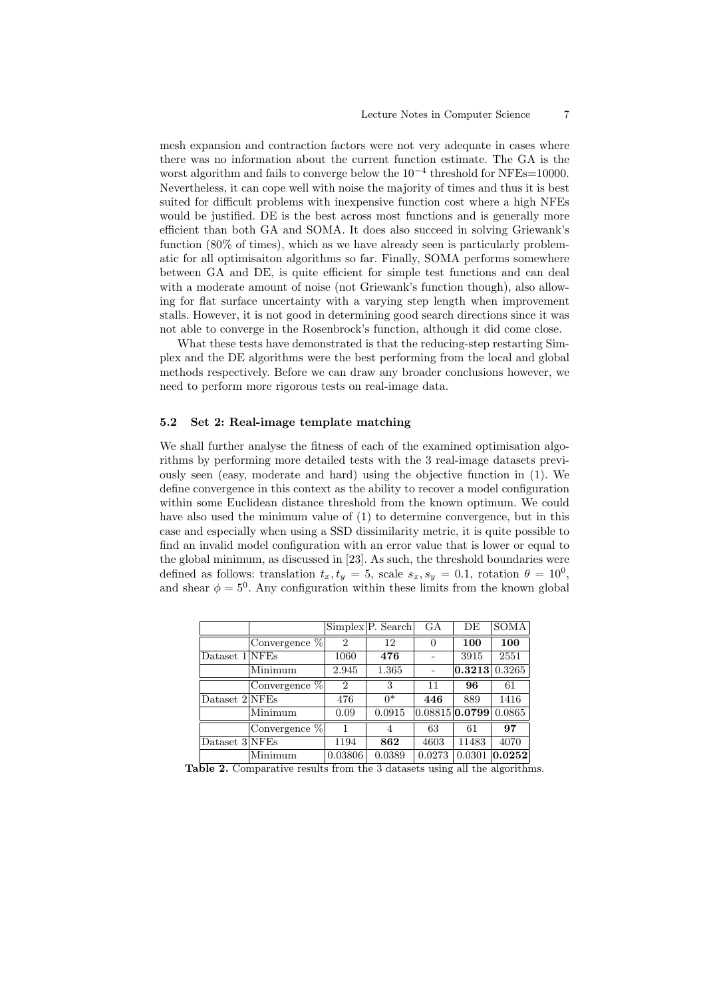mesh expansion and contraction factors were not very adequate in cases where there was no information about the current function estimate. The GA is the worst algorithm and fails to converge below the 10<sup>-4</sup> threshold for NFEs=10000. Nevertheless, it can cope well with noise the majority of times and thus it is best suited for difficult problems with inexpensive function cost where a high NFEs would be justified. DE is the best across most functions and is generally more efficient than both GA and SOMA. It does also succeed in solving Griewank's function (80% of times), which as we have already seen is particularly problematic for all optimisaiton algorithms so far. Finally, SOMA performs somewhere between GA and DE, is quite efficient for simple test functions and can deal with a moderate amount of noise (not Griewank's function though), also allowing for flat surface uncertainty with a varying step length when improvement stalls. However, it is not good in determining good search directions since it was not able to converge in the Rosenbrock's function, although it did come close.

What these tests have demonstrated is that the reducing-step restarting Simplex and the DE algorithms were the best performing from the local and global methods respectively. Before we can draw any broader conclusions however, we need to perform more rigorous tests on real-image data.

### 5.2 Set 2: Real-image template matching

We shall further analyse the fitness of each of the examined optimisation algorithms by performing more detailed tests with the 3 real-image datasets previously seen (easy, moderate and hard) using the objective function in (1). We define convergence in this context as the ability to recover a model configuration within some Euclidean distance threshold from the known optimum. We could have also used the minimum value of (1) to determine convergence, but in this case and especially when using a SSD dissimilarity metric, it is quite possible to find an invalid model configuration with an error value that is lower or equal to the global minimum, as discussed in [23]. As such, the threshold boundaries were defined as follows: translation  $t_x, t_y = 5$ , scale  $s_x, s_y = 0.1$ , rotation  $\theta = 10^0$ , and shear  $\phi = 5^0$ . Any configuration within these limits from the known global

|                           |                             |                | Simplex P. Search | GA                        | DE     | SOMA   |
|---------------------------|-----------------------------|----------------|-------------------|---------------------------|--------|--------|
|                           | Convergence $\overline{\%}$ | $\overline{2}$ | 12                | $\Omega$                  | 100    | 100    |
| Dataset 1 NFEs            |                             | 1060           | 476               |                           | 3915   | 2551   |
|                           | Minimum                     | 2.945          | 1.365             |                           | 0.3213 | 0.3265 |
|                           | Convergence %               | $\overline{2}$ | 3                 | 11                        | 96     | 61     |
| Dataset 2 <sup>NFEs</sup> |                             | 476            | $0^*$             | 446                       | 889    | 1416   |
|                           | Minimum                     | 0.09           | 0.0915            | $ 0.08815 $ <b>0.0799</b> |        | 0.0865 |
|                           | Convergence $\overline{\%}$ |                | 4                 | 63                        | 61     | 97     |
| Dataset 3 NFEs            |                             | 1194           | 862               | 4603                      | 11483  | 4070   |
|                           | Minimum                     | 0.03806        | 0.0389            | 0.0273                    | 0.0301 | 0.0252 |

Table 2. Comparative results from the 3 datasets using all the algorithms.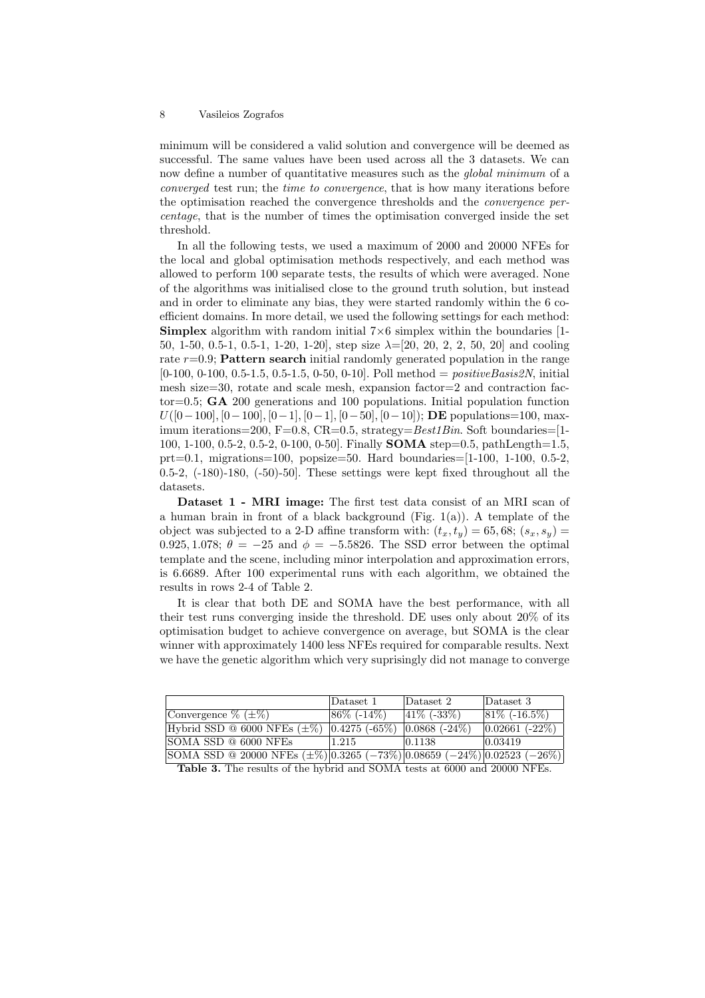minimum will be considered a valid solution and convergence will be deemed as successful. The same values have been used across all the 3 datasets. We can now define a number of quantitative measures such as the *global minimum* of a converged test run; the time to convergence, that is how many iterations before the optimisation reached the convergence thresholds and the convergence percentage, that is the number of times the optimisation converged inside the set threshold.

In all the following tests, we used a maximum of 2000 and 20000 NFEs for the local and global optimisation methods respectively, and each method was allowed to perform 100 separate tests, the results of which were averaged. None of the algorithms was initialised close to the ground truth solution, but instead and in order to eliminate any bias, they were started randomly within the 6 coefficient domains. In more detail, we used the following settings for each method: **Simplex** algorithm with random initial  $7\times6$  simplex within the boundaries [1-50, 1-50, 0.5-1, 0.5-1, 1-20, 1-20], step size  $\lambda = [20, 20, 2, 2, 50, 20]$  and cooling rate  $r=0.9$ ; **Pattern search** initial randomly generated population in the range  $[0-100, 0-100, 0.5-1.5, 0.5-1.5, 0-50, 0-10]$ . Poll method = positiveBasis2N, initial mesh size=30, rotate and scale mesh, expansion factor=2 and contraction factor=0.5;  $GA$  200 generations and 100 populations. Initial population function  $U([0-100], [0-100], [0-1], [0-1], [0-50], [0-10])$ ; **DE** populations=100, maximum iterations=200, F=0.8, CR=0.5, strategy= $Best1Bin$ . Soft boundaries=[1-100, 1-100, 0.5-2, 0.5-2, 0-100, 0-50]. Finally SOMA step=0.5, pathLength=1.5, prt=0.1, migrations=100, popsize=50. Hard boundaries=[1-100, 1-100, 0.5-2, 0.5-2, (-180)-180, (-50)-50]. These settings were kept fixed throughout all the datasets.

Dataset 1 - MRI image: The first test data consist of an MRI scan of a human brain in front of a black background (Fig. 1(a)). A template of the object was subjected to a 2-D affine transform with:  $(t_x, t_y) = 65, 68$ ;  $(s_x, s_y) =$ 0.925, 1.078;  $\theta = -25$  and  $\phi = -5.5826$ . The SSD error between the optimal template and the scene, including minor interpolation and approximation errors, is 6.6689. After 100 experimental runs with each algorithm, we obtained the results in rows 2-4 of Table 2.

It is clear that both DE and SOMA have the best performance, with all their test runs converging inside the threshold. DE uses only about 20% of its optimisation budget to achieve convergence on average, but SOMA is the clear winner with approximately 1400 less NFEs required for comparable results. Next we have the genetic algorithm which very suprisingly did not manage to converge

|                                                                                                                                                                                                                                                                                                                                                              | Dataset 1         | Dataset 2         | Dataset 3          |
|--------------------------------------------------------------------------------------------------------------------------------------------------------------------------------------------------------------------------------------------------------------------------------------------------------------------------------------------------------------|-------------------|-------------------|--------------------|
| Convergence $\%$ ( $\pm\%$ )                                                                                                                                                                                                                                                                                                                                 | $ 86\% (-14\%)$   | $ 41\%$ (-33\%)   | $ 81\% (-16.5\%)$  |
| Hybrid SSD $@$ 6000 NFEs $(\pm \%)$                                                                                                                                                                                                                                                                                                                          | $ 0.4275 (-65\%)$ | $ 0.0868(-24\%) $ | $ 0.02661$ (-22\%) |
| <b>SOMA SSD @ 6000 NFEs</b>                                                                                                                                                                                                                                                                                                                                  | 1.215             | 0.1138            | 0.03419            |
| $ {\rm SOMA} \hspace{0.1cm} {\rm SSD} \hspace{0.1cm} \textcircled{a} \hspace{0.1cm} 20000 \hspace{0.1cm} {\rm NFEs} \hspace{0.1cm} (\pm \%)  0.3265 \hspace{0.1cm} (-73\%)  0.08659 \hspace{0.1cm} (-24\%)  0.02523 \hspace{0.1cm} (-26\%)  0.02523 \hspace{0.1cm} (-73\%)  0.02523 \hspace{0.1cm} (-73\%)  0.02523 \hspace{0.1cm} (-73\%)  0.02523 \hspace$ |                   |                   |                    |

Table 3. The results of the hybrid and SOMA tests at 6000 and 20000 NFEs.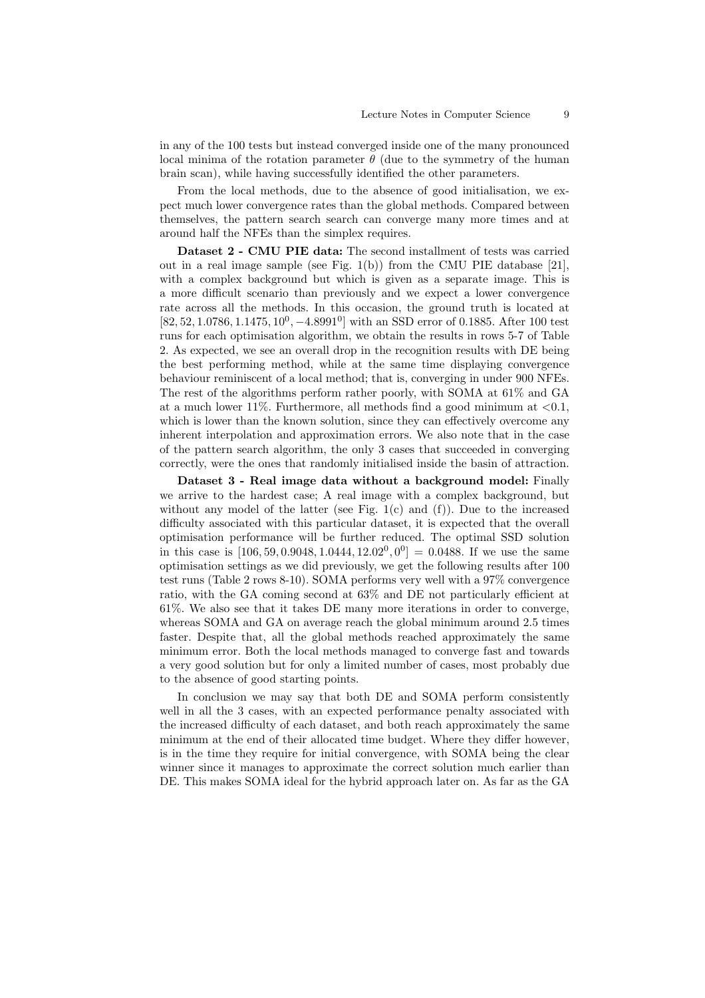in any of the 100 tests but instead converged inside one of the many pronounced local minima of the rotation parameter  $\theta$  (due to the symmetry of the human brain scan), while having successfully identified the other parameters.

From the local methods, due to the absence of good initialisation, we expect much lower convergence rates than the global methods. Compared between themselves, the pattern search search can converge many more times and at around half the NFEs than the simplex requires.

Dataset 2 - CMU PIE data: The second installment of tests was carried out in a real image sample (see Fig. 1(b)) from the CMU PIE database [21], with a complex background but which is given as a separate image. This is a more difficult scenario than previously and we expect a lower convergence rate across all the methods. In this occasion, the ground truth is located at  $[82, 52, 1.0786, 1.1475, 10^0, -4.8991^0]$  with an SSD error of 0.1885. After 100 test runs for each optimisation algorithm, we obtain the results in rows 5-7 of Table 2. As expected, we see an overall drop in the recognition results with DE being the best performing method, while at the same time displaying convergence behaviour reminiscent of a local method; that is, converging in under 900 NFEs. The rest of the algorithms perform rather poorly, with SOMA at 61% and GA at a much lower 11%. Furthermore, all methods find a good minimum at  $\langle 0.1, \rangle$ which is lower than the known solution, since they can effectively overcome any inherent interpolation and approximation errors. We also note that in the case of the pattern search algorithm, the only 3 cases that succeeded in converging correctly, were the ones that randomly initialised inside the basin of attraction.

Dataset 3 - Real image data without a background model: Finally we arrive to the hardest case; A real image with a complex background, but without any model of the latter (see Fig.  $1(c)$  and  $(f)$ ). Due to the increased difficulty associated with this particular dataset, it is expected that the overall optimisation performance will be further reduced. The optimal SSD solution in this case is  $[106, 59, 0.9048, 1.0444, 12.02^0, 0^0] = 0.0488$ . If we use the same optimisation settings as we did previously, we get the following results after 100 test runs (Table 2 rows 8-10). SOMA performs very well with a 97% convergence ratio, with the GA coming second at 63% and DE not particularly efficient at 61%. We also see that it takes DE many more iterations in order to converge, whereas SOMA and GA on average reach the global minimum around 2.5 times faster. Despite that, all the global methods reached approximately the same minimum error. Both the local methods managed to converge fast and towards a very good solution but for only a limited number of cases, most probably due to the absence of good starting points.

In conclusion we may say that both DE and SOMA perform consistently well in all the 3 cases, with an expected performance penalty associated with the increased difficulty of each dataset, and both reach approximately the same minimum at the end of their allocated time budget. Where they differ however, is in the time they require for initial convergence, with SOMA being the clear winner since it manages to approximate the correct solution much earlier than DE. This makes SOMA ideal for the hybrid approach later on. As far as the GA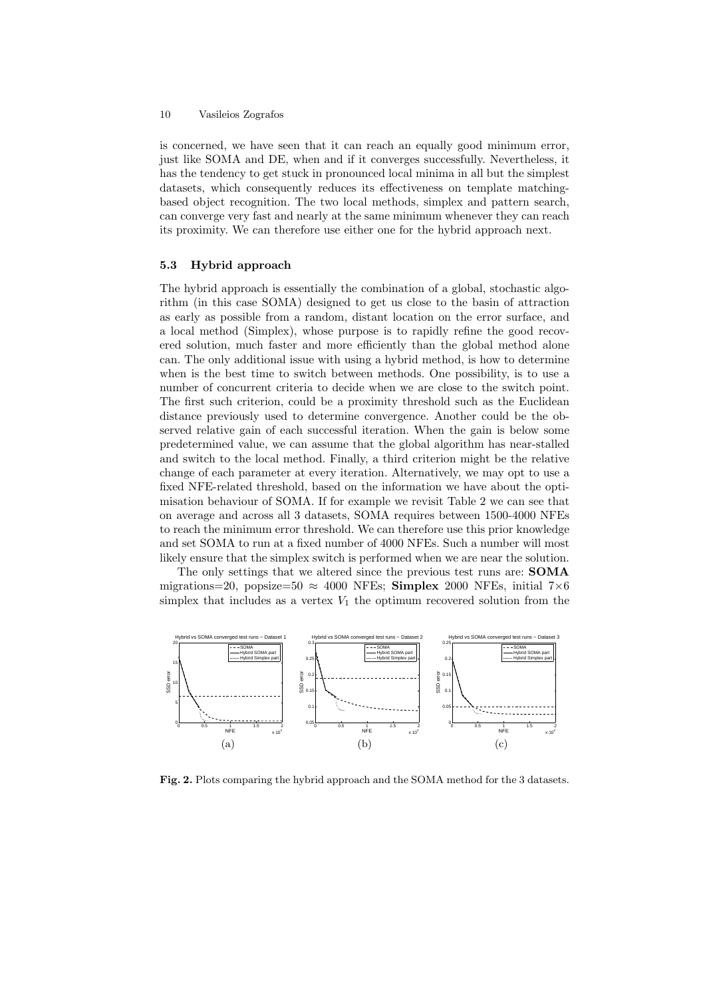is concerned, we have seen that it can reach an equally good minimum error, just like SOMA and DE, when and if it converges successfully. Nevertheless, it has the tendency to get stuck in pronounced local minima in all but the simplest datasets, which consequently reduces its effectiveness on template matchingbased object recognition. The two local methods, simplex and pattern search, can converge very fast and nearly at the same minimum whenever they can reach its proximity. We can therefore use either one for the hybrid approach next.

#### 5.3 Hybrid approach

The hybrid approach is essentially the combination of a global, stochastic algorithm (in this case SOMA) designed to get us close to the basin of attraction as early as possible from a random, distant location on the error surface, and a local method (Simplex), whose purpose is to rapidly refine the good recovered solution, much faster and more efficiently than the global method alone can. The only additional issue with using a hybrid method, is how to determine when is the best time to switch between methods. One possibility, is to use a number of concurrent criteria to decide when we are close to the switch point. The first such criterion, could be a proximity threshold such as the Euclidean distance previously used to determine convergence. Another could be the observed relative gain of each successful iteration. When the gain is below some predetermined value, we can assume that the global algorithm has near-stalled and switch to the local method. Finally, a third criterion might be the relative change of each parameter at every iteration. Alternatively, we may opt to use a fixed NFE-related threshold, based on the information we have about the optimisation behaviour of SOMA. If for example we revisit Table 2 we can see that on average and across all 3 datasets, SOMA requires between 1500-4000 NFEs to reach the minimum error threshold. We can therefore use this prior knowledge and set SOMA to run at a fixed number of 4000 NFEs. Such a number will most likely ensure that the simplex switch is performed when we are near the solution.

The only settings that we altered since the previous test runs are: SOMA migrations=20, popsize=50  $\approx$  4000 NFEs; Simplex 2000 NFEs, initial 7×6 simplex that includes as a vertex  $V_1$  the optimum recovered solution from the



Fig. 2. Plots comparing the hybrid approach and the SOMA method for the 3 datasets.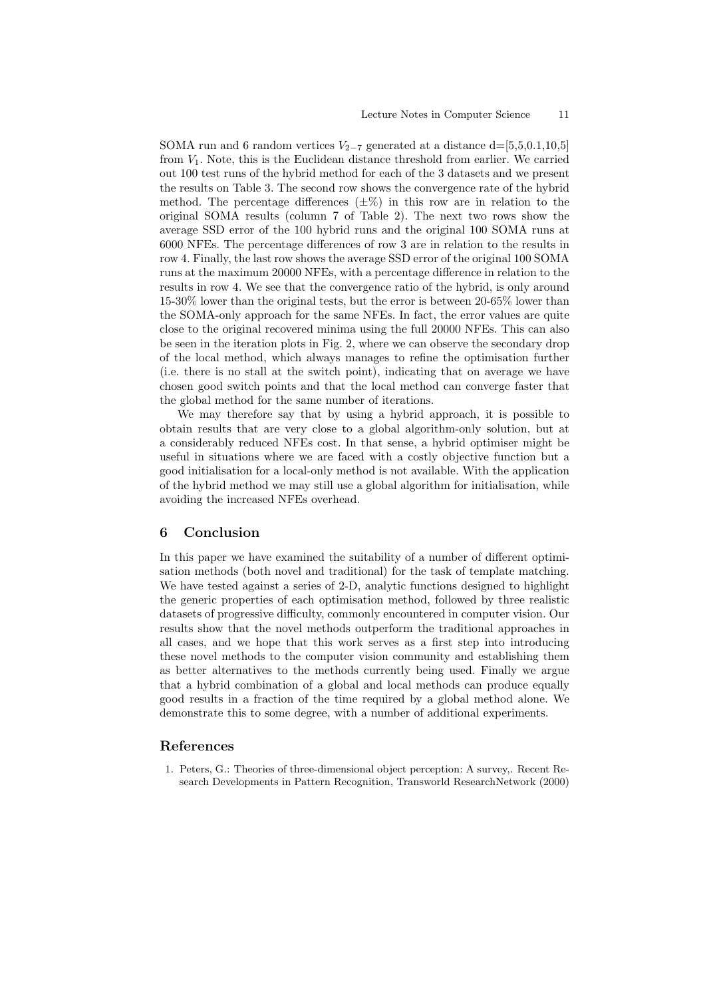SOMA run and 6 random vertices  $V_{2-7}$  generated at a distance d=[5,5,0.1,10,5] from  $V_1$ . Note, this is the Euclidean distance threshold from earlier. We carried out 100 test runs of the hybrid method for each of the 3 datasets and we present the results on Table 3. The second row shows the convergence rate of the hybrid method. The percentage differences  $(\pm \%)$  in this row are in relation to the original SOMA results (column 7 of Table 2). The next two rows show the average SSD error of the 100 hybrid runs and the original 100 SOMA runs at 6000 NFEs. The percentage differences of row 3 are in relation to the results in row 4. Finally, the last row shows the average SSD error of the original 100 SOMA runs at the maximum 20000 NFEs, with a percentage difference in relation to the results in row 4. We see that the convergence ratio of the hybrid, is only around 15-30% lower than the original tests, but the error is between 20-65% lower than the SOMA-only approach for the same NFEs. In fact, the error values are quite close to the original recovered minima using the full 20000 NFEs. This can also be seen in the iteration plots in Fig. 2, where we can observe the secondary drop of the local method, which always manages to refine the optimisation further (i.e. there is no stall at the switch point), indicating that on average we have chosen good switch points and that the local method can converge faster that the global method for the same number of iterations.

We may therefore say that by using a hybrid approach, it is possible to obtain results that are very close to a global algorithm-only solution, but at a considerably reduced NFEs cost. In that sense, a hybrid optimiser might be useful in situations where we are faced with a costly objective function but a good initialisation for a local-only method is not available. With the application of the hybrid method we may still use a global algorithm for initialisation, while avoiding the increased NFEs overhead.

# 6 Conclusion

In this paper we have examined the suitability of a number of different optimisation methods (both novel and traditional) for the task of template matching. We have tested against a series of 2-D, analytic functions designed to highlight the generic properties of each optimisation method, followed by three realistic datasets of progressive difficulty, commonly encountered in computer vision. Our results show that the novel methods outperform the traditional approaches in all cases, and we hope that this work serves as a first step into introducing these novel methods to the computer vision community and establishing them as better alternatives to the methods currently being used. Finally we argue that a hybrid combination of a global and local methods can produce equally good results in a fraction of the time required by a global method alone. We demonstrate this to some degree, with a number of additional experiments.

# References

1. Peters, G.: Theories of three-dimensional object perception: A survey,. Recent Research Developments in Pattern Recognition, Transworld ResearchNetwork (2000)